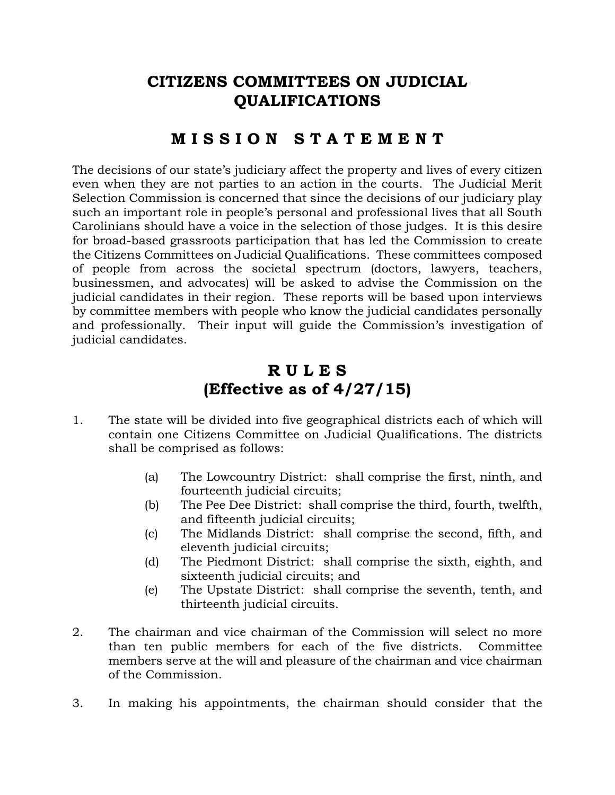## **CITIZENS COMMITTEES ON JUDICIAL QUALIFICATIONS**

## **M I S S I O N S T A T E M E N T**

The decisions of our state's judiciary affect the property and lives of every citizen even when they are not parties to an action in the courts. The Judicial Merit Selection Commission is concerned that since the decisions of our judiciary play such an important role in people's personal and professional lives that all South Carolinians should have a voice in the selection of those judges. It is this desire for broad-based grassroots participation that has led the Commission to create the Citizens Committees on Judicial Qualifications. These committees composed of people from across the societal spectrum (doctors, lawyers, teachers, businessmen, and advocates) will be asked to advise the Commission on the judicial candidates in their region. These reports will be based upon interviews by committee members with people who know the judicial candidates personally and professionally. Their input will guide the Commission's investigation of judicial candidates.

## **R U L E S (Effective as of 4/27/15)**

- 1. The state will be divided into five geographical districts each of which will contain one Citizens Committee on Judicial Qualifications. The districts shall be comprised as follows:
	- (a) The Lowcountry District: shall comprise the first, ninth, and fourteenth judicial circuits;
	- (b) The Pee Dee District: shall comprise the third, fourth, twelfth, and fifteenth judicial circuits;
	- (c) The Midlands District: shall comprise the second, fifth, and eleventh judicial circuits;
	- (d) The Piedmont District: shall comprise the sixth, eighth, and sixteenth judicial circuits; and
	- (e) The Upstate District: shall comprise the seventh, tenth, and thirteenth judicial circuits.
- 2. The chairman and vice chairman of the Commission will select no more than ten public members for each of the five districts. Committee members serve at the will and pleasure of the chairman and vice chairman of the Commission.
- 3. In making his appointments, the chairman should consider that the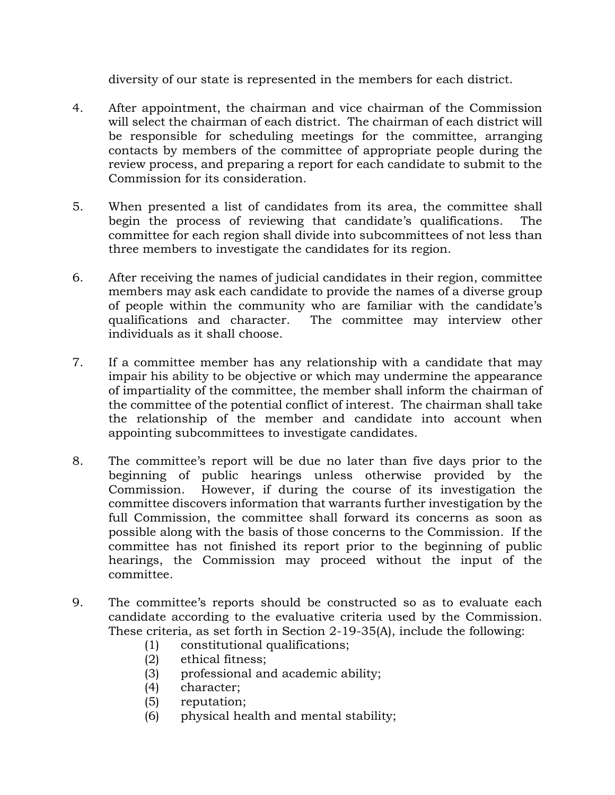diversity of our state is represented in the members for each district.

- 4. After appointment, the chairman and vice chairman of the Commission will select the chairman of each district. The chairman of each district will be responsible for scheduling meetings for the committee, arranging contacts by members of the committee of appropriate people during the review process, and preparing a report for each candidate to submit to the Commission for its consideration.
- 5. When presented a list of candidates from its area, the committee shall begin the process of reviewing that candidate's qualifications. The committee for each region shall divide into subcommittees of not less than three members to investigate the candidates for its region.
- 6. After receiving the names of judicial candidates in their region, committee members may ask each candidate to provide the names of a diverse group of people within the community who are familiar with the candidate's qualifications and character. The committee may interview other individuals as it shall choose.
- 7. If a committee member has any relationship with a candidate that may impair his ability to be objective or which may undermine the appearance of impartiality of the committee, the member shall inform the chairman of the committee of the potential conflict of interest. The chairman shall take the relationship of the member and candidate into account when appointing subcommittees to investigate candidates.
- 8. The committee's report will be due no later than five days prior to the beginning of public hearings unless otherwise provided by the Commission. However, if during the course of its investigation the committee discovers information that warrants further investigation by the full Commission, the committee shall forward its concerns as soon as possible along with the basis of those concerns to the Commission. If the committee has not finished its report prior to the beginning of public hearings, the Commission may proceed without the input of the committee.
- 9. The committee's reports should be constructed so as to evaluate each candidate according to the evaluative criteria used by the Commission. These criteria, as set forth in Section 2-19-35(A), include the following:
	- (1) constitutional qualifications;
	- (2) ethical fitness;
	- (3) professional and academic ability;
	- (4) character;
	- (5) reputation;
	- (6) physical health and mental stability;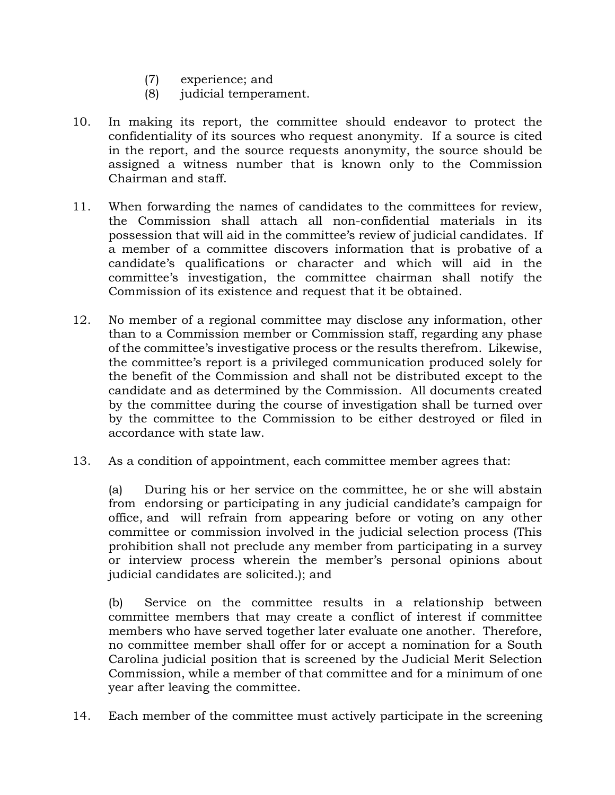- (7) experience; and
- (8) judicial temperament.
- 10. In making its report, the committee should endeavor to protect the confidentiality of its sources who request anonymity. If a source is cited in the report, and the source requests anonymity, the source should be assigned a witness number that is known only to the Commission Chairman and staff.
- 11. When forwarding the names of candidates to the committees for review, the Commission shall attach all non-confidential materials in its possession that will aid in the committee's review of judicial candidates. If a member of a committee discovers information that is probative of a candidate's qualifications or character and which will aid in the committee's investigation, the committee chairman shall notify the Commission of its existence and request that it be obtained.
- 12. No member of a regional committee may disclose any information, other than to a Commission member or Commission staff, regarding any phase of the committee's investigative process or the results therefrom. Likewise, the committee's report is a privileged communication produced solely for the benefit of the Commission and shall not be distributed except to the candidate and as determined by the Commission. All documents created by the committee during the course of investigation shall be turned over by the committee to the Commission to be either destroyed or filed in accordance with state law.
- 13. As a condition of appointment, each committee member agrees that:

(a) During his or her service on the committee, he or she will abstain from endorsing or participating in any judicial candidate's campaign for office, and will refrain from appearing before or voting on any other committee or commission involved in the judicial selection process (This prohibition shall not preclude any member from participating in a survey or interview process wherein the member's personal opinions about judicial candidates are solicited.); and

(b) Service on the committee results in a relationship between committee members that may create a conflict of interest if committee members who have served together later evaluate one another. Therefore, no committee member shall offer for or accept a nomination for a South Carolina judicial position that is screened by the Judicial Merit Selection Commission, while a member of that committee and for a minimum of one year after leaving the committee.

14. Each member of the committee must actively participate in the screening